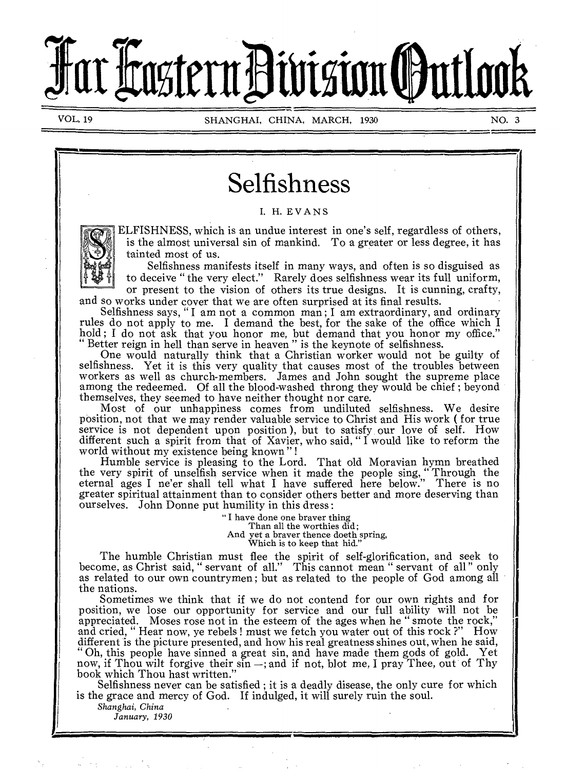# har Fastern Division **(**Outlook

VOL. 19 SHANGHAI, CHINA, MARCH, 1930 NO. 3

# Selfishness

I. H. EVANS



ELFISHNESS, which is an undue interest in one's self, regardless of others, is the almost universal sin of mankind. To a greater or less degree, it has tainted most of us.

Selfishness manifests itself in many ways, and often is so disguised as to deceive " the very elect." Rarely does selfishness wear its full uniform,

or present to the vision of others its true designs. It is cunning, crafty, and so works under cover that we are often surprised at its final results.

Selfishness says, " I am not a common man ; I am extraordinary, and ordinary rules do not apply to me. I demand the best, for the sake of the office which I hold ; I do not ask that you honor me, but demand that you honor my office." " Better reign in hell than serve in heaven " is the keynote of selfishness.

One would naturally think that a Christian worker would not be guilty of selfishness. Yet it is this very quality that causes most of the troubles between workers as well as church-members. James and John sought the supreme place among the redeemed. Of all the blood-washed throng they would be chief ; beyond themselves, they seemed to have neither thought nor care.

Most of our unhappiness comes from undiluted selfishness. We desire position, not that we may render valuable service to Christ and His work ( for true service is not dependent upon position ), but to satisfy, our love of self. How different such a spirit from that of Xavier, who said, " I would like to reform the world without my existence being known " !

Humble service is pleasing to the Lord. That old Moravian hymn breathed the very spirit of unselfish service when it made the people sing, Through the eternal ages I ne'er shall tell what I have suffered here below." There is no greater spiritual attainment than to consider others better and more deserving than ourselves. John Donne put humility in this dress :

> " I have done one braver thing Than all the worthies did; And yet a braver thence doeth spring, Which is to keep that hid."

The humble Christian must flee the spirit of self-glorification, and seek to become, as Christ said, " servant of all." This cannot mean " servant of all" only as related to our own countrymen; but as related to the people of God among all the nations.

Sometimes we think that if we do not contend for our own rights and for position, we lose our opportunity for service and our full ability will not be appreciated. Moses rose not in the esteem of the ages when he " smote the rock," and cried, " Hear now, ye rebels ! must we fetch you water out of this rock ?" How different is the picture presented, and how his real greatness shines out, when he said, " Oh, this people have sinned a great sin, and have made them gods of gold. Yet now, if Thou wilt forgive their sin —; and if not, blot me, I pray Thee, out of Thy book which Thou hast written."

Selfishness never can be satisfied ; it is a deadly disease, the only cure for which is the grace and mercy of God. If indulged, it will surely ruin the soul.

*Shanghai, China January, 1930*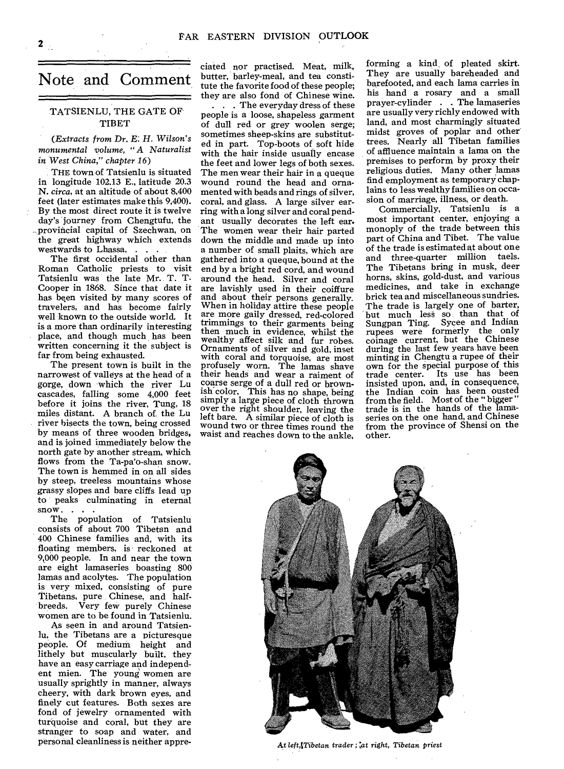# Note and Comment

#### TATSIENLU, THE GATE OF TIBET

*(Extracts from* Dr. E: *H. Wilson's monumental volume, "A Naturalist in West China," chapter 16)* 

THE town of Tatsienlu is situated in longitude 102.13 E., latitude 20.3 N. *circa,* at an altitude of about 8,400 feet (later estimates make this 9,400). By the most direct route it is twelve day's journey from Chengtufu, the -.provincial capital of Szechwan, on the great highway which extends westwards to Lhassa. . . .

The first occidental other than Roman Catholic priests to visit Tatsienlu was the late Mr. T. T. Cooper in 1868. Since that date it has been visited by many scores of travelers, and has become fairly well known to the outside world. It is a more than ordinarily interesting place, and though much has been written concerning it the subject is far from being exhausted.

The present town is built in the narrowest of valleys at the head of a gorge, down which the river Lu cascades, falling some 4,000 feet before it joins the river, Tung, 18 miles distant. A branch of, the Lu river bisects the town, being crossed by means of three wooden bridges, and is joined immediately below the north gate by another stream, which flows from the Ta-pa'o-shan snow. The town is hemmed in on all sides by steep, treeless mountains whose grassy slopes and bare cliffs lead up to peaks culminating in eternal snow. . . .

The population of Tatsienlu consists of about 700 Tibetan and 400 Chinese families and, with its floating members, is reckoned at 9,000 people. In and near the town are eight lamaseries boasting 800 lamas and acolytes. The population is very mixed, consisting of pure Tibetans, pure Chinese, and halfbreeds. Very few purely Chinese women are to be found in Tatsienlu.

As seen in and around Tatsienlu, the Tibetans are a picturesque people. Of medium height and lithely but muscularly built, they have an easy carriage and independent mien. The young women are usually sprightly in manner, always cheery, with dark brown eyes, and finely cut features. Both sexes are fond of jewelry ornamented with turquoise and coral, but they are stranger to soap and water, and personal cleanliness is neither appreciated nor practised. Meat, milk, butter, barley-meal, and tea constitute the favorite food of these people; they are also fond of Chinese wine.

. . . The everyday dress of these people is a loose, shapeless garment of dull red or grey woolen serge; sometimes sheep-skins are substituted in part. Top-boots of soft hide with the hair inside usually encase the feet and lower legs of both sexes. The men wear their hair in a queque wound round the head and ornamented with beads and rings of silver, coral, and glass. A large silver earring with a long silver and coral pendant usually decorates the left ear. The women wear their hair parted down the middle and made up into a number of small plaits, which are gathered into a queque, bound at the end by a bright red cord, and wound around the head. Silver and coral are lavishly used in their coiffure and about their persons generally. When in holiday attire these people are more gaily dressed, red-colored trimmings to their garments being then much in evidence, whilst the wealthy affect silk and fur robes. Ornaments of silver and gold, inset with coral and torquoise, are most profusely worn. The lamas shave their heads and wear a raiment of coarse serge of a dull red or brownish color, This has no shape, being simply a large piece of cloth thrown over the right shoulder, leaving the left bare. A similar piece of cloth is wound two or three times round the waist and reaches down to the ankle,

forming a kind of pleated skirt. They are usually bareheaded and barefooted, and each lama carries in his hand a rosary and a small prayer-cylinder . . The lamaseries are usually very richly endowed with land, and most charmingly situated midst groves of poplar and other trees. Nearly all Tibetan families of affluence maintain a lama on the premises to perform by proxy their religious duties. Many other lamas find employment as temporary chaplains to less wealthy families on occasion of marriage, illness, or death.

Commercially, Tatsienlu is a most important center, enjoying a monoply of the trade between this part of China and Tibet. The value of the trade is estimated at about one and three-quarter million taels. The Tibetans bring in musk, deer horns, skins, gold-dust, and various medicines, and take in exchange brick tea and miscellaneous sundries. The trade is largely one of barter, but much less so than that of Sungpan Ting. Sycee and Indian Sungpan Ting. Sycee and Indian rupees were formerly the only coinage current, but the Chinese during the last few years have been minting in Chengtu a rupee of their own for the special purpose of this trade center. Its use has been insisted upon, and, in consequence, the Indian coin has been ousted from the field. Most of the " bigger " trade is in the hands of the lamaseries on the one hand, and Chinese from the province of Shensi on the other.



At left, Tibetan trader ; at right, Tibetan priest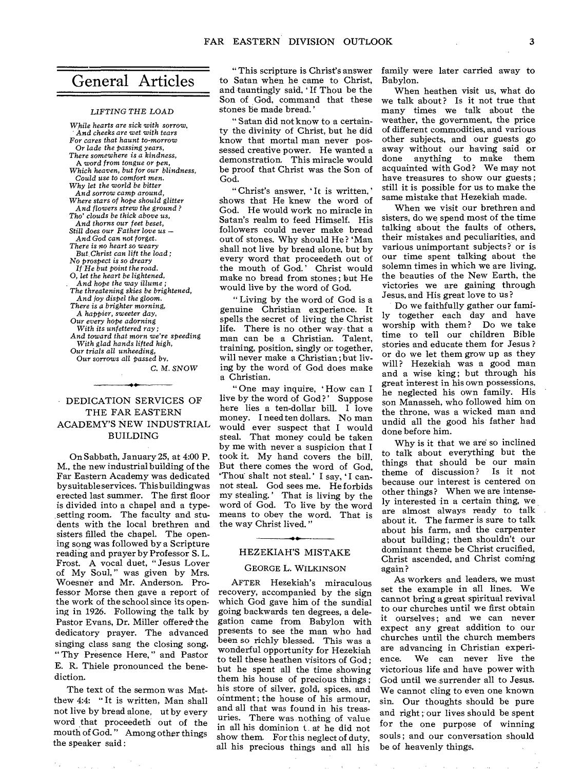# General Articles

#### *LIFTING THE* LOAD

*While hearts are sick* with sorrow, *' And cheeks are wet with tears For cares that haunt* to-morrow Or *lade the passing years, There somewhere is a kindness,*  A *word from tongue* or *pen, Which heaven, but for our blindness, Could use to comfort men. Why let the world be bitter And* sorrow *camp around, Where stars of hope should glitter And flowers strew the ground ? Tho' clouds be thick above us, And thorns our feet beset, Still does our Father love us — And* God *can* not forget. *There is no heart so weary But Christ can lift the load; No prospect is so dreary If He but point the road. 0, let the heart be lightened, And hope the way illume ; The threatening skies be brightened, And joy dispel the gloom. There is a brighter* morning, A *happier, sweeter day,*  Our *every hope adorning With its unfettered ray; And toward that* morn *we're speeding With glad hands lifted high, Our trials all unheeding,*  Our sorrows all passed by. C. M. *SNOW*  ♦e—

#### DEDICATION SERVICES OF THE FAR EASTERN ACADEMY'S NEW INDUSTRIAL BUILDING

On Sabbath, January 25, at 4:00 P. M., the new industrial building of the Far Eastern Academy was dedicated by suitable services. This building was erected last summer. The first floor is divided into a chapel and a typesetting room. The faculty and students with the local brethren and sisters filled the chapel. The opening song was followed by a Scripture reading and prayer by Professor S. L. Frost. A vocal duet, " Jesus Lover of My Soul, " was given by Mrs. Woesner and Mr. Anderson. Professor Morse then gave a report of the work of the school since its opening in 1926. Following the talk by Pastor Evans, Dr. Miller offered the dedicatory prayer. The advanced singing class sang the closing song, "Thy Presence Here," and Pastor E. R. Thiele pronounced the benediction.

The text of the sermon was Matthew 4:4: " It is written, Man shall not live by bread alone, ut by every word that proceedeth out of the mouth of God. " Among other things the speaker said :

**CALL ACCAUSE** 

" This scripture is Christ's answer to Satan when he came to Christ, and tauntingly said, 'If Thou be the Son of God, command that these stones be made bread.'

" Satan did not know to a certainty the divinity of Christ, but he did know that mortal man never possessed creative power. He wanted a demonstration. This miracle would be proof that Christ was the Son of God.

" Christ's answer, 'It is written,' shows that He knew the word of God. He would work no miracle in Satan's realm to feed Himself. His followers could never make bread out of stones. Why should He ? 'Man shall not live by bread alone, but by every word that proceedeth out of the mouth of God.' Christ would make no bread from stones; but He would live by the word of God.

" Living by the word of God is a genuine Christian experience. It spells the secret of living the Christ life. There is no other way that a man can be a Christian. Talent, training, position, singly or together, will never make a Christian ; but living by the word of God does make a Christian.

" One may inquire, 'How can I live by the word of God?' Suppose here lies a ten-dollar bill. I love money. I need ten dollars. No man would ever suspect that I would steal. That money could be taken by me with never a suspicion that I took it. My hand covers the bill. But there comes the word of God, 'Thou shalt not steal.' I say, 'I cannot steal. God sees me. He forbids my stealing.' That is living by the word of God. To live by the word means to obey the word. That is the way Christ lived."

#### HEZEKIAH'S MISTAKE

#### GEORGE L. WILKINSON

AFTER Hezekiah's miraculous recovery, accompanied by the sign which God gave him of the sundial going backwards ten degrees, a delegation came from Babylon with presents to see the man who had been so richly blessed. This was a wonderful opportunity for Hezekiah to tell these heathen visitors of God ; but he spent all the time showing them his house of precious things ; his store of silver, gold, spices, and ointment ; the house of his armour, and all that was found in his treasuries. There was nothing of value in all his dominion t at he did not show them. For this neglect of duty, all his precious things and all his

family were later carried away to Babylon.

When heathen visit us, what do we talk about? Is it not true that many times we talk about the weather, the government, the price of different commodities, and various other subjects, and our guests go away without our having said or done anything to make them acquainted with God? We may not have treasures to show our guests ; still it is possible for us to make the same mistake that Hezekiah made.

When we visit our brethren and sisters, do we spend most of the time talking about the faults of others, their mistakes and peculiarities, and various unimportant subjects? or is our time spent talking about the solemn times in which we are living, the beauties of the New Earth, the victories we are gaining through Jesus, and His great love to us?

Do we faithfully gather our famitogether each day and have worship with them? Do we take time to tell our children Bible stories and educate them for Jesus ? or do we let them grow up as they will? Hezekiah was a good man and a wise king; but through his great interest in his own possessions, he neglected his own family. His son Manasseh, who followed him on the throne, was a wicked man and undid all the good his father had done before him.

Why is it that we are so inclined to talk about everything but the things that should be our main theme of discussion ? Is it not because our interest is centered on other things? When we are intensely interested in a certain thing, we are almost always ready to talk about it. The farmer is sure to talk about his farm, and the carpenter about building; then shouldn't our dominant theme be Christ crucified, Christ ascended, and Christ coming again ?

As workers and leaders, we must set the example in all lines. We cannot bring a great spiritual revival to our churches until we first obtain it ourselves; and we can never expect any great addition to our churches until the church members are advancing in Christian experience. We can never live the victorious life and have power with God until we surrender all to Jesus. We cannot cling to even one known sin. Our thoughts should be pure and right ; our lives should be spent for the one purpose of winning souls ; and our conversation should be of heavenly things.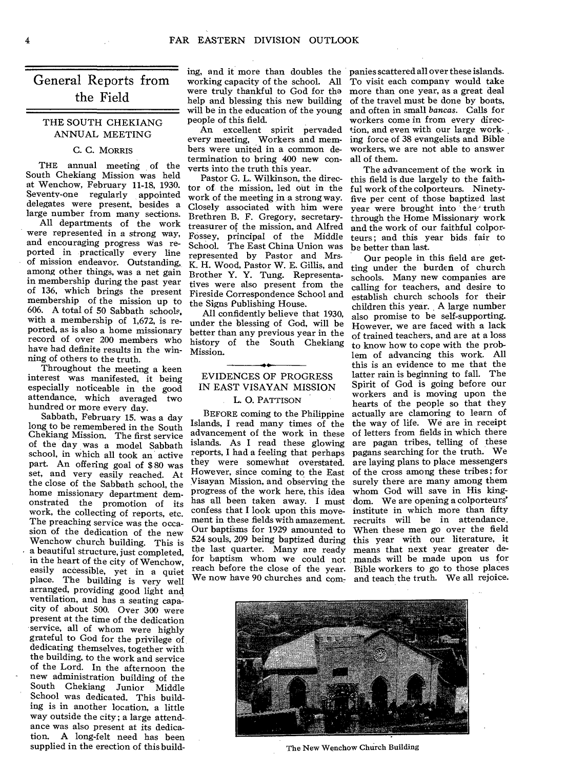# the Field General Reports from

#### THE SOUTH CHEKIANG ANNUAL MEETING

#### C. C. MORRIS

THE annual meeting of the South Chekiang Mission was held at Wenchow, February 11-18, 1930. Seventy-one regularly appointed delegates were present, besides a large number from many sections.

All departments of the work were represented in a strong way, and encouraging progress was reported in practically every line of mission endeavor. Outstanding, among other things, was a net gain in membership during the past year of 136, which brings the present membership of the mission up to 606. A total of 50 Sabbath schools, with a membership of 1,672, is reported, as is also a home missionary record of over 200 members who have had definite results in the winning of others to the truth.

Throughout the meeting a keen interest was manifested, it being especially noticeable in the good attendance, which averaged two hundred or more every day.

Sabbath, February 15. was a day long to be remembered in the South Chekiang Mission. The first service of the day was a model Sabbath school, in which all took an active part. An offering goal of \$ 80 was set, and very easily reached. At the close of the Sabbath school, the home missionary department demonstrated the promotion of its work, the collecting of reports, etc. The preaching service was the occasion of the dedication of the new Wenchow church building. This is a beautiful structure, just completed, in the heart of the city of Wenchow, easily accessible, yet in a quiet<br>place. The building is very well The building is very well arranged, providing good light and ventilation, and has a seating capacity of about 500. Over 300 were present at the time of the dedication service, all of whom were highly grateful to God for the privilege of dedicating themselves, together with the building, to the work and service of the Lord. In the afternoon the new administration building of the South Chekiang Junior Middle School was dedicated. This building is in another location, a little way outside the city ; a large attendance was also present at its dedica-<br>tion. A long-felt need has been A long-felt need has been supplied in the erection of this build-

ing, and it more than doubles the were truly thankful to God for tha help and blessing this new building will be in the education of the young people of this field.

An excellent spirit pervaded every meeting, Workers and members were united in a common determination to bring 400 new converts into the truth this year.

Pastor G. L. Wilkinson, the director of the mission, led out in the work of the meeting in a strong way. Closely associated with him were Brethren B. F. Gregory, secretarytreasurer of the mission, and Alfred Fossey, principal of the Middle School. The East China Union was represented by Pastor and Mrs-K. H. Wood, Pastor W. E. Gillis, and Brother Y. Y. Tung. Representatives were also present from the Fireside Correspondence School and the Signs Publishing House.

All confidently believe that 1930, under the blessing of God, will be better than any previous year in the history of the South Chekiang Mission.

#### EVIDENCES OF PROGRESS IN EAST VISAYAN MISSION L. 0. PATTISON

#### BEFORE coming to the Philippine Islands, I read many times of the advancement of the work in these islands. As I read these glowing reports, I had a feeling that perhaps they were somewhat overstated. However, since coming to the East Visayan Mission, and observing the progress of the work here, this idea has all been taken away. I must confess that I look upon this movement in these fields with amazement. Our baptisms for 1929 amounted to 524 souls, 209 being baptized during the last quarter. Many are ready for baptism whom we could not reach before the close of the year.

panies scattered all over these islands. To visit each company would take more than one year, as a great deal of the travel must be done by boats, and often in small *bancas.* Calls for workers come in from every direction, and even with our large working force of 38 evangelists and Bible workers, we are not able to answer all of them.

The advancement of the work in this field is due largely to the faithful work of the colporteurs. Ninetyfive per cent of those baptized last vear were brought into the truth through the Home Missionary work and the work of our faithful colporteurs ; and this year bids fair to be better than last.

We now have 90 churches and com- and teach the truth. We all rejoice. Our people in this field are getting under the burden of church schools. Many new companies are calling for teachers, and desire to establish church schools for their children this year. A large number also promise to be self-supporting. However, we are faced with a lack of trained teachers, and are at a loss to know how to cope with the problem of advancing this work. All this is an evidence to me that the latter rain is beginning to fall. The Spirit of God is going before our workers and is moving upon the hearts of the people so that they actually are clamoring to learn of the way of life. We are in receipt of letters from fields in which there are pagan tribes, telling of these pagans searching for the truth. We are laying plans to place messengers of the cross among these tribes; for surely there are many among them whom God will save in His kingdom. We are opening a colporteurs' institute in which more than fifty recruits will be in attendance. When these men go over the field this year with our, literature, it means that next year greater demands will be made upon us for Bible workers to go to those places



The New Wenchow Church Building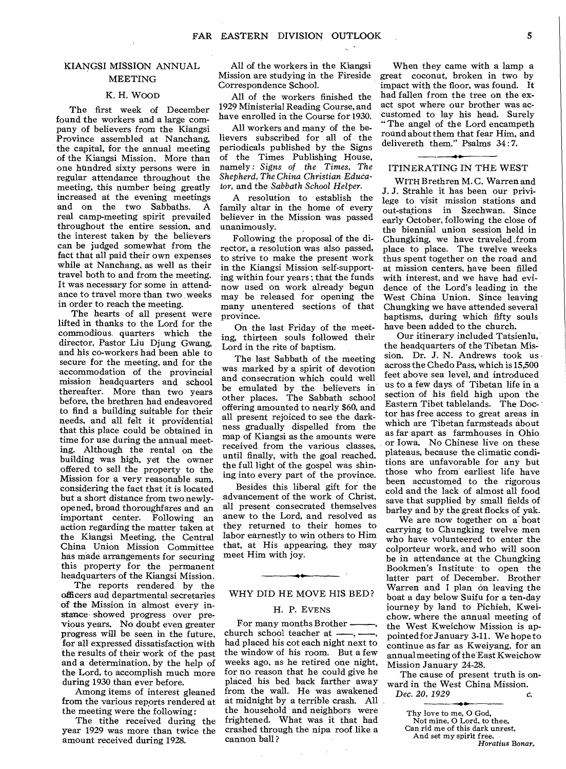#### KIANGSI MISSION ANNUAL MEETING

#### K. H. WOOD

The first week of December found the workers and a large company of believers from the Kiangsi Province assembled at Nanchang, the capital, for the annual meeting of the Kiangsi Mission. More than one hundred sixty persons were in regular attendance throughout the meeting, this number being greatly increased at the evening meetings and on the two Sabbaths. A real camp-meeting spirit prevailed throughout the entire session, and the interest taken by the believers can be judged somewhat from the fact that all paid their own expenses while at Nanchang, as well as their travel both to and from the meeting. It was necessary for some in attendance to travel more than two weeks in order to reach the meeting.

The hearts of all present were lifted in thanks to the Lord for the commodious quarters which the director, Pastor Liu Djung Gwang, and his co-workers had been able to secure for the meeting, and for the accommodation of the provincial mission headquarters and school thereafter. More than two years before, the brethren had endeavored to find a building suitable for their needs, and all felt it providential that this place could be obtained in time for use during the annual meeting. Although the rental on the building was high, yet the owner offered to sell the property to the Mission for a very reasonable sum, considering the fact that it is located but a short distance from two newlyopened, broad thoroughfares and an important center. Following an action regarding the matter taken at the Kiangsi Meeting, the Central China Union Mission Committee has made arrangements for securing this property for the permanent headquarters of the Kiangsi Mission.

The reports rendered by the officers and departmental secretaries of the Mission in almost every instance showed progress over previous years. No doubt even greater progress will be seen in the future, for all expressed dissatisfaction with the results of their work of the past and a determination, by the help of the Lord, to accomplish much more during 1930 than ever before.

Among items of interest gleaned from the various reports rendered at the meeting were the following:

The tithe received during the year 1929 was more than twice the amount received during 1928.

All of the workers in the Kiangsi Mission are studying in the Fireside Correspondence School.

All of the workers finished the 1929 Ministerial Reading Course, and have enrolled in the Course for 1930.

All workers and many of the believers subscribed for all of the periodicals published by the Signs of the Times Publishing House, namely: *Signs of the Times, The Shepherd, The China Christian Educator,* and the *Sabbath School Helper.* 

A resolution to establish the family altar in the home of every believer in the Mission was passed unanimously.

Following the proposal of the director, a resolution was also passed, to strive to make the present work in the Kiangsi Mission self-supporting within four years ; that the funds now used on work already begun may be released for opening the many unentered sections of that province.

On the last Friday of the meeting, thirteen souls followed their Lord in the rite of baptism.

The last Sabbath of the meeting was marked by a spirit of devotion and consecration which could well be emulated by the believers in other places. The Sabbath school offering amounted to nearly \$60, and all present rejoiced to see the darkness gradually dispelled from the map of Kiangsi as the amounts were received from the various classes, until finally, with the goal reached. the full light of the gospel was shining into every part of the province.

Besides this liberal gift for the advancement of the work of Christ, all present consecrated themselves anew to the Lord, and resolved as they returned to their homes to labor earnestly to win others to Him that, at His appearing, they may meet Him with joy.

## 44 WHY DID HE MOVE HIS BED?

#### H. P. EVENS

For many months Brother church school teacher at had placed his cot each night next to the window of his room. But a few weeks ago, as he retired one night, for no reason that he could give he placed his bed back farther away from the wall. He was awakened at midnight by a terrible crash. All the household and neighbors were frightened. What was it that had crashed through the nipa roof like a cannon ball ?

When they came with a lamp a great coconut, broken in two by impact with the floor, was found. It had fallen from the tree on the exact spot where our brother was accustomed to lay his head. Surely "The angel of the Lord encampeth round about them that fear Him, and delivereth them." Psalms 34:7.

#### ITINERATING IN THE WEST

WITH Brethren M. C. Warren and J. J. Strahle it has been our privilege to visit mission stations and out-stations in Szechwan. Since early October, following the close of the biennial union session held in Chungking, we have traveled ,from place to place. The twelve weeks thus spent together on the road and at mission centers, have been filled with interest, and we have had evidence of the Lord's leading in the West China Union. Since leaving Chungking we have attended several baptisms, during which fifty souls have been added to the church.

Our itinerary included Tatsienlu, the headquarters of the Tibetan Mission. Dr. J. N. Andrews took us across the Chedo Pass, which is 15,500 feet above sea level, and introduced, us to a few days of Tibetan life in a section of his field high upon the Eastern Tibet tablelands. The Doctor has free access to great areas in which are Tibetan farmsteads about as far apart as farmhouses in Ohio or Iowa, No Chinese live on these plateaus, because the climatic conditions are unfavorable for any but those who from' earliest life have been accustomed to the rigorous cold and the lack of almost all food save that supplied by small fields of barley and by the great flocks of yak.

We are now together on a boat carrying to Chungking twelve men who have volunteered to enter the colporteur work, and who will soon be in attendance at the Chungking Bookmen's Institute to open the latter part of December. Brother Warren and I plan on leaving the boat a day below Suifu for a ten-day journey by land to Pichieh, Kweichow, where the annual meeting of the West Kweichow Mission is appointed for January 3-11. We hope to continue as far as Kweiyang, for an annual meeting of the East Kweichow Mission January 24-28.

The cause of present truth is onward in the West China Mission. *Dec. 20, 1929 c.* 

Thy love to me, 0 God, Not mine, 0 Lord, to thee, Can rid me of this dark unrest, And set my spirit free. *Horatius* Bonar,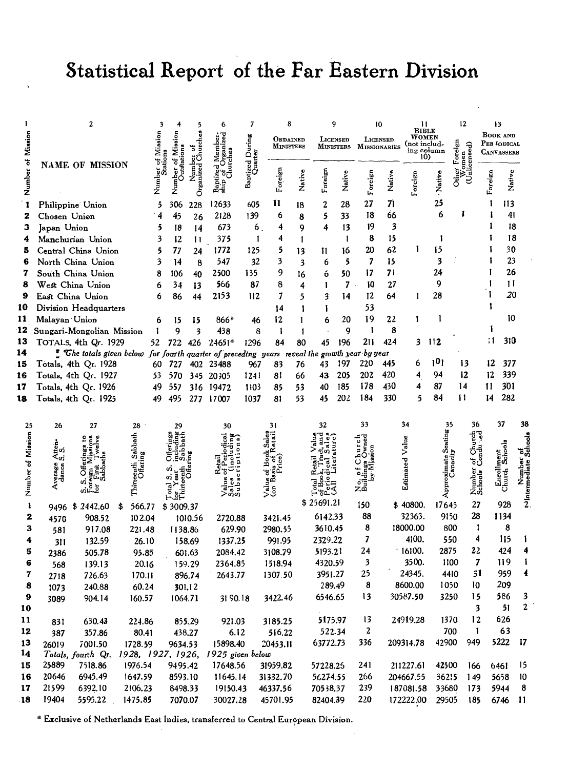# Statistical Report of the Far Eastern Division

|                   |                           | 2                                                                                             |                           | 3       |           | 5            | 6             | 7                          | 8                |        |            | g               |                     | 10                  | $\frac{11}{\text{BIBLE}}$ |            | 12                |             | 13                           |                                   |
|-------------------|---------------------------|-----------------------------------------------------------------------------------------------|---------------------------|---------|-----------|--------------|---------------|----------------------------|------------------|--------|------------|-----------------|---------------------|---------------------|---------------------------|------------|-------------------|-------------|------------------------------|-----------------------------------|
|                   |                           |                                                                                               |                           |         |           | ö            |               |                            | ORDAINED         |        |            | <b>LICENSED</b> | LICENSED            |                     | WOMEN                     |            |                   |             | <b>BOOK AND</b>              |                                   |
| Mission           |                           |                                                                                               |                           | Mission |           | Church<br>ō  |               |                            | <b>MINISTERS</b> |        | MINISTERS  |                 |                     | <b>MISSIONARIES</b> | (not includ-              | ing column | Foreign<br>sed)   | PER IODICAL |                              |                                   |
|                   |                           |                                                                                               |                           |         | Σ         |              |               |                            |                  |        |            |                 |                     |                     |                           | 10)        | omen              |             | <b>CANVASSERS</b>            |                                   |
| Number of         |                           | <b>NAME OF MISSION</b>                                                                        |                           |         |           |              |               | Baptized During<br>Quarter |                  |        |            |                 |                     |                     |                           |            |                   |             |                              |                                   |
|                   |                           |                                                                                               |                           | Number  |           |              |               |                            | Foreign          | Native | Foreign    | Native          |                     | Native              |                           | Native     | ن<br>Sthe         |             | Native                       |                                   |
|                   |                           |                                                                                               |                           |         | ź         | Organized    |               |                            |                  |        |            |                 | Foreign             |                     | Foreign                   |            |                   | Foreign     |                              |                                   |
| 1                 | Philippine Union          |                                                                                               |                           | 5       | 306       | 228          | 12633         | 605                        | 11               | 18     | 2          | 28              | 27                  | 71                  |                           | 25         |                   |             | 113                          |                                   |
| 2                 | Chosen Union              |                                                                                               |                           | 4       | 45        | 26           | 2128          | 139                        | 6                | 8      | 5          | 33              | 18                  | 66                  |                           | 6          |                   |             | 41                           |                                   |
| з                 | Japan Union               |                                                                                               |                           | 5       | 18        | 14           | 673           | 6 <sub>1</sub>             | 4                | 9      | 4          | 13              | 19                  | 3                   |                           |            |                   |             | 18                           |                                   |
| 4                 | Manchurian Union          |                                                                                               |                           | 3       | 12        | $\mathbf{1}$ | 375           | 1                          | 4                | 1      |            | $\mathbf{1}$    | 8                   | 15                  |                           | 1          |                   |             | 18                           |                                   |
| 5                 | Central China Union       |                                                                                               |                           | 5       | 77        | 24           | 1772          | 125                        | 5                | 13     | Ħ.         | 16              | 20                  | 62                  | L                         | 15         |                   |             | 30                           |                                   |
| 6                 | North China Union         |                                                                                               |                           | 3       | 14        | 8            | 547           | 32                         | 3                | 3      | 6          | 5               | 7                   | 15                  |                           | 3          |                   |             | 23                           |                                   |
| 7                 | South China Union         |                                                                                               |                           | 8       | 106       | 40           | 2500          | 135                        | 9                | 16     | ó          | 50              | 17                  | 71                  |                           | 24         |                   |             | 26                           |                                   |
| 8                 | West China Union          |                                                                                               |                           | 6       | 34        |              | 566           | 87                         | 8                | 4      | ı          | 7               | 10                  | 27                  |                           | 9          |                   |             | 11                           |                                   |
| 9                 | East China Union          |                                                                                               |                           | 6       |           | 13           | 2153          | 112                        | 7                |        |            | 14              | 12                  | 64                  | 1                         | 28         |                   |             | 20                           |                                   |
|                   |                           |                                                                                               |                           |         | 86        | 44           |               |                            |                  | 5      | 3          |                 |                     |                     |                           |            |                   |             |                              |                                   |
| 10                | Division Headquarters     |                                                                                               |                           |         |           |              |               |                            | 14               | 1      | 1          |                 | 53                  |                     |                           | 1          |                   |             | 10                           |                                   |
| 11                | Malayan Union             |                                                                                               |                           | 6       | 15        | 15           | 866*          | 46                         | 12               | 1      | 6          | 20              | 19                  | 22                  | 1                         |            |                   |             |                              |                                   |
| 12                | Sungari-Mongolian Mission |                                                                                               |                           | 1       | 9         | 3            | 438           | 8                          | ł                | 1      |            | 9               | ı                   | 8                   |                           |            |                   | 11          | 310                          |                                   |
| 13                | TOTALS, 4th Qr. 1929      |                                                                                               |                           | 52      | 722       | 426          | $24651*$      | 1296                       | 84               | 80     | 45         | 196             | 211                 | 424                 | 3                         | 112        |                   |             |                              |                                   |
| 14                |                           | " The totals given below for fourth quarter of preceding years reveal the growth year by year |                           |         |           |              |               |                            |                  |        |            |                 |                     |                     |                           | 101        |                   |             |                              |                                   |
| 15                | Totals, 4th Qr. 1928      |                                                                                               |                           |         | 60 727    |              | 402 23488     | 967                        | 83               | 76     | 43         | 197             | 220                 | 445                 | 6                         |            | 13                | 12          | 377                          |                                   |
| 16                | Totals, 4th Qr. 1927      |                                                                                               |                           | 53      | 570       |              | 345 20305     | 1241                       | 81               | 66     | 43         | 205             | 202                 | 420                 | 4                         | 94         | 12                | 12          | 339                          |                                   |
| 17                | Totals, 4th Qr. 1926      |                                                                                               |                           | 49      | 557       |              | 316 19472     | 1103                       | 85               | 53     | 40         | 185             | 178                 | 430                 | 4                         | 87         | 14                | Ħ           | 301                          |                                   |
| 18                | Totals, 4th Qr. 1925      |                                                                                               |                           | 49      | 495       | 277          | 17007         | 1037                       | 81               | 53     | 45         | 202             | 184                 | 330                 | 5                         | 84         | 11                | 14          | 282                          |                                   |
|                   |                           |                                                                                               |                           |         |           |              |               |                            |                  |        |            |                 |                     |                     |                           |            |                   |             |                              |                                   |
| 25                | 26                        | 27                                                                                            | 28                        |         | 29        |              | 30            |                            | 31               |        | 32         |                 | 33                  |                     | 34                        | 35         | 36                |             | 37                           | 38                                |
| Number of Mission |                           | ¥                                                                                             |                           |         |           |              |               |                            |                  |        |            |                 |                     |                     |                           | Seating    |                   |             |                              |                                   |
|                   | ្នុំ<br>ដូច               |                                                                                               | Sabbath                   |         |           |              |               |                            |                  |        |            |                 | hurch<br>Owned      |                     |                           |            | Church            |             |                              |                                   |
|                   | ≺ຜ                        |                                                                                               |                           |         |           |              |               |                            |                  |        |            |                 |                     |                     |                           |            | ಕಕ್ಕೆ<br>ಕಂ       |             |                              |                                   |
|                   | Average<br>dance :        | Offeri                                                                                        | Thirteenth Sa<br>Offering |         |           |              |               |                            |                  |        |            |                 | ۰                   |                     | Estimated Value           |            |                   |             | Enrollment<br>Church Schools |                                   |
|                   |                           |                                                                                               |                           |         |           |              |               |                            |                  |        |            |                 | خ<br>ö<br>رة<br>هكا |                     |                           |            | Number<br>Schools |             |                              |                                   |
|                   |                           | ្លូច<br>ă                                                                                     |                           |         |           |              | P<br>α<br>ဟဲဟ |                            | Jaj<br>So        |        |            | ड               |                     |                     |                           | Appr       |                   |             |                              | Number of<br>Nhtermediate Schools |
| $\mathbf{1}$      | \$<br>9496                | 2442.60                                                                                       | 566.77                    |         | \$3009.37 |              |               |                            |                  |        | \$25691.21 |                 | 150                 |                     | \$40800.                  | 17645      | 27                |             | 928                          |                                   |
| 2                 | 4570                      | 908.52                                                                                        | 102.04                    |         |           | 1010.56      | 2720.88       |                            | 3421.45          |        | 6142.33    |                 | 88                  |                     | 32363.                    | 9150       | 28                |             | 1134                         |                                   |
| 3                 | 581                       | 917.08                                                                                        | 221.48                    |         | 1138.86   |              | 629.90        |                            | 2980.55          |        | 3610.45    |                 | 8                   |                     | 18000.00                  | 800        | 1                 |             | 8                            |                                   |
| 4                 | 311                       | 132.59                                                                                        | 26.10                     |         |           | 158.69       | 1337.25       |                            | 991.95           |        | 2329.22    |                 | 7                   |                     | 4100.                     | 550        | 4                 |             | 115                          |                                   |
| 5                 | 2386                      | 505.78                                                                                        | 95.85                     |         |           | 601.63       | 2084.42       |                            | 3108.79          |        | 5193.21    |                 | 24                  |                     | $-16100.$                 | 2875       | 22                |             | 424                          |                                   |
| 6                 | 568                       | 139.13                                                                                        | 20.16                     |         |           | 159.29       | 2364.85       |                            | 1518.94          |        | 4320.59    |                 | 3                   |                     | 3500.                     | 1100       | 7                 |             | 119                          | Ŧ                                 |
| 7                 | 2718                      | 726.63                                                                                        | 170.11                    |         |           | 896.74       | 2643.77       |                            | 1307.50          |        | 3951.27    |                 | 25                  |                     | 24345.                    | 4410       | 31                |             | 959                          | 4                                 |
| 8                 | 1073                      | 240.88                                                                                        | 60.24                     |         | 301.12    |              |               |                            |                  |        |            | 289.49          | 8                   |                     | 8600.00                   | 1050       | 10                |             | 209                          |                                   |
|                   | 3089                      | 904.14                                                                                        | 160.57                    |         | 1064.71   |              | 31 90.18      |                            | 3422.46          |        | 6546.65    |                 | 13                  |                     | 30587.50                  | 3250       | 15                |             | 586                          | 3                                 |
| 10                |                           |                                                                                               |                           |         |           |              |               |                            |                  |        |            |                 |                     |                     |                           |            | 3                 |             | 51                           | $\boldsymbol{2}$                  |
| 11                | 831                       | 630.43                                                                                        | 224.86                    |         |           | 855,29       | 921.03        |                            | 3185.25          |        | 5175.97    |                 | 13                  |                     | 24919.28                  | 1370       | 12                |             | 626                          |                                   |
| 12                | 387                       | 357.86                                                                                        | 80.41                     |         |           | 438.27       | 6.12          |                            | 516.22           |        |            | 522.34          | 2                   |                     |                           | 700        | 1                 |             | 63                           |                                   |
| 13                | 26019                     | 7001.50                                                                                       | 1728.59                   |         | 9634.53   |              | 15898.40      |                            | 20453.11         |        | 63772.73   |                 | 336                 |                     | 209314.78                 | 42900      | 949               |             | 5222                         | -17                               |
| 14                |                           | Totals, fourth Qr. 1928, 1927, 1926, 1925 given below                                         |                           |         |           |              |               |                            |                  |        |            |                 |                     |                     |                           |            |                   |             |                              |                                   |
| 15                | 25889                     | 7518.86                                                                                       | 1976.54                   |         | 9495.42   |              | 17648.56      |                            | 31959.82         |        | 57228.25   |                 | 241                 |                     | 211227.61                 | 42500      | 166               |             | 6461                         | 15                                |
| 16                | 20646                     | 6945.49                                                                                       | 1647.59                   |         | 8593.10   |              | 11645.14      |                            | 31332.70         |        | 56274.55   |                 | 266                 |                     | 204667.55                 | 36215      | 149               |             | 5658                         | 10                                |
| 17                | 21599                     | 6392.10                                                                                       | 2106.23                   |         | 8498.33   |              | 19150.43      |                            | 46337.56         |        | 70538.37   |                 | 239                 |                     | 187081.58                 | 33680      | 173               |             | 5944                         | 8                                 |
| 18                | 19404                     | 5595.22                                                                                       | 1475.85                   |         | 7070.07   |              | 30027.28      |                            | 45701.95         |        | 82404.39   |                 | 220                 |                     | 172222.00                 | 29505      | 185               |             | 6746                         | -11                               |
|                   |                           |                                                                                               |                           |         |           |              |               |                            |                  |        |            |                 |                     |                     |                           |            |                   |             |                              |                                   |

\* Exclusive of Netherlands East Indies, transferred to Central European Division.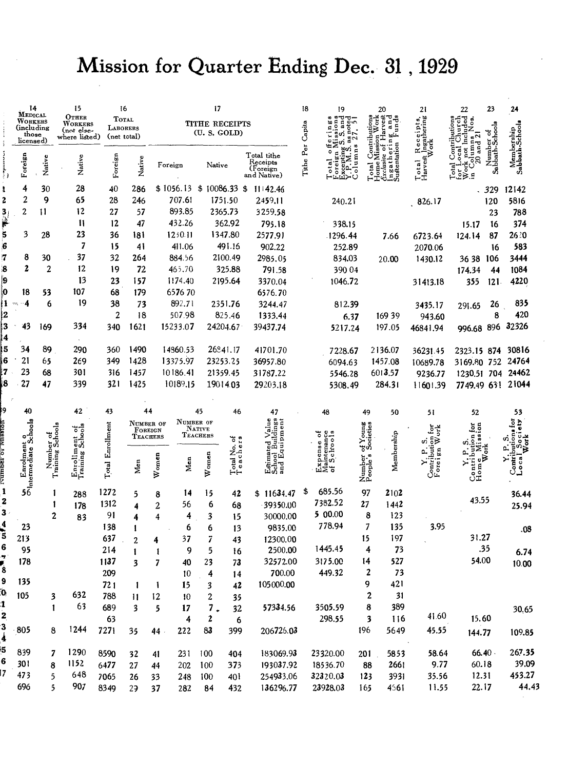# Mission for Quarter Ending Dec. 31, 1929

|                  | $\frac{14}{\text{M}\text{EDICAL}}$          |                               | 15<br>16<br>17                                  |                                         |                         |          |                                          | 18                                    | 19                       |                                                      | 20               | 21                                              | 22                                       | 23                                            | 24                                 |                                                   |                              |                             |
|------------------|---------------------------------------------|-------------------------------|-------------------------------------------------|-----------------------------------------|-------------------------|----------|------------------------------------------|---------------------------------------|--------------------------|------------------------------------------------------|------------------|-------------------------------------------------|------------------------------------------|-----------------------------------------------|------------------------------------|---------------------------------------------------|------------------------------|-----------------------------|
|                  | WORKERS<br>(including<br>those<br>licensed) |                               | OTHER<br>WORKERS<br>(not else-<br>where listed) | <b>TOTAL</b><br>LABORERS<br>(net total) |                         |          |                                          | <b>TITHE RECEIPTS</b><br>(U. S. GOLD) |                          |                                                      |                  | ò0<br>note<br>E,<br>ွှဲဟ                        | Contributi<br>Mission W<br>$\frac{8}{3}$ | Harvest<br>ō<br>a,<br>ering<br>tion           | Receipts,<br>t Ingathering<br>Work | $\frac{umns}{and 2}$<br>ē                         |                              |                             |
| i<br>V           | Foreign                                     | Native                        | Native                                          | Foreign                                 | Native                  | Foreign  |                                          | Native                                |                          | Total tithe<br>Receipts<br>(Foreign<br>and Native)   | Tithe Per Capita | Excepting<br>$\bullet$<br>oreign<br>$\circ$ tal | olums<br>lotal<br>-<br>-<br>-            | ustentation<br>۰<br><b>Gxclusive</b><br>ngath | Total<br>Harvest                   | ă<br>$\overline{a}$<br>otal<br>당이<br>이번<br>ŏ      | Number of<br>Sabbath-Schools | Membership<br>Sabbath-Schoo |
| t                | 4                                           | 30                            | 28                                              | 40                                      | 286                     |          | $$1056.13 \text{ } $10086.33 \text{ } $$ |                                       |                          | 11142.46                                             |                  |                                                 |                                          |                                               |                                    |                                                   | 329                          | 12142                       |
| 2                | $\overline{2}$                              | 9                             | 65                                              | 28                                      | 246                     |          | 707.61                                   |                                       | 1751.50                  | 2459.11                                              |                  | 240.21                                          |                                          |                                               | 826.17                             |                                                   | 120                          | 5816                        |
| $\frac{3}{3}$    | $\overline{c}$                              | 11                            | 12                                              | 27                                      | 57                      |          | 893.85                                   |                                       | 2365.73                  | 3259.58                                              |                  |                                                 |                                          |                                               |                                    |                                                   | 23                           | 788                         |
|                  |                                             |                               | $\mathbf{1}$                                    | 12                                      | 47                      |          | 432.26                                   |                                       | 362.92                   | 795.18                                               |                  | 338.15                                          |                                          |                                               |                                    | 15.17                                             | 16                           | 374                         |
| j,               | 3                                           | 28                            | 23                                              | 36                                      | 181                     |          | 1230.11                                  |                                       | 1347.80                  | 2577.91                                              |                  | 1296.44                                         |                                          | 7.66                                          | 6723.64                            | 124.14                                            | 87                           | 26 ໄO                       |
| 6                |                                             |                               | 7                                               | 15                                      | 41                      |          | 411.06                                   |                                       | 491.16                   | 902.22                                               |                  | 252.89                                          |                                          |                                               | 2070.06                            |                                                   | 16                           | 583                         |
| $\boldsymbol{7}$ | 8                                           | 30                            | 37                                              | 32                                      | 264                     |          | 884.56                                   |                                       | 2100.49                  | 2985.05                                              |                  | 834.03                                          |                                          | 20.00                                         | 1430.12                            | 36 38 106                                         |                              | 3444                        |
| 8                | 2                                           | $\overline{2}$                | 12                                              | 19                                      | 72                      |          | 465.70                                   |                                       | 325.88                   | 791.58                                               |                  | 390 04                                          |                                          |                                               |                                    | 174.34                                            | 44                           | 1084                        |
| ļ9               |                                             |                               | 13                                              | 23                                      | 157                     |          | 1174.40                                  |                                       | 2195.64                  | 3370.04                                              |                  | 1046.72                                         |                                          |                                               | 31413.18                           | 355                                               | 121                          | 4220                        |
| ļО               | 18                                          | 53                            | 107                                             | 68                                      | 179                     |          | 657670                                   |                                       |                          | 6576.70                                              |                  |                                                 |                                          |                                               |                                    |                                                   |                              |                             |
| Ħ                | 4<br>m,                                     | 6                             | 19                                              | 38                                      | 73                      |          | 892.71                                   |                                       | 2351.76                  | 3244.47                                              |                  | 812.39                                          |                                          |                                               | 3435.17                            | 291.65                                            | 26                           | 835                         |
| 2                |                                             |                               |                                                 | 2                                       | 18                      |          | 507.98                                   |                                       | 825.46                   | 1333.44                                              |                  | 6.37                                            |                                          | 169 39                                        | 943.60                             |                                                   | 8                            | 420                         |
| 3<br>4           | 43                                          | 169                           | 334                                             | 340                                     | 1621                    |          | 15233.07                                 |                                       | 24204.67                 | 39437.74                                             |                  | 5217.24                                         |                                          | 197.05                                        | 46841.94                           | 996.68 896 32326                                  |                              |                             |
| į5               | 34                                          | 89                            | 290                                             | 360                                     | 1490                    |          | 14860.53                                 |                                       | 26841.17                 | 41701.70                                             |                  | 7228.67                                         |                                          | 2136.07                                       | 36231.45                           | 2323.15 874 30816                                 |                              |                             |
| 6                | 21                                          | 65                            | 269                                             | 349                                     | 1428                    |          | 13375.97                                 |                                       | 23253.25                 | 36957.80                                             |                  | 6094.63                                         |                                          | 1457.08                                       | 10689.78                           | 3169.80 752 24764                                 |                              |                             |
| 17               | 23                                          | 68                            | 301                                             | 316                                     | 1457                    |          | 10186.41                                 |                                       | 21359.45                 | 31787.22                                             |                  | 5546.28                                         |                                          | 6013.57                                       | 9236.77                            | 1230.51 704 24462                                 |                              |                             |
| 8                | 27                                          | 47                            | 339                                             | 321                                     | 1425                    |          | 10189.15                                 |                                       | 19014.03                 | 29203.18                                             |                  | 5308.49                                         |                                          | 284.31                                        | 11601.39                           | 7749.49 631 21044                                 |                              |                             |
|                  |                                             |                               |                                                 |                                         |                         |          |                                          |                                       |                          |                                                      |                  |                                                 |                                          |                                               |                                    |                                                   |                              |                             |
| 9                | 40                                          |                               | 42                                              | 43                                      | 44                      |          |                                          | 45                                    | 46                       | 47                                                   |                  | 48                                              | 49                                       | 50                                            | 51                                 | 52                                                |                              | 53                          |
|                  |                                             |                               | sent of<br>Schools                              | <b>Total Enrollment</b>                 | NUMBER OF<br>FOREIGN    |          | NUMBER OF                                | NATIVE                                |                          | Estimated Value<br>School Buildings<br>and Equipment |                  |                                                 | of Young<br>Societies                    |                                               | 흡출                                 | $_{\rm for}$<br>ion                               |                              |                             |
|                  |                                             |                               |                                                 |                                         | <b>TEACHERS</b>         |          |                                          | TEACHERS                              |                          |                                                      |                  |                                                 | Ϋ́,                                      |                                               | ક≶<br>m                            |                                                   |                              |                             |
|                  |                                             | Number of<br>Training Schools |                                                 |                                         |                         |          |                                          |                                       | Total No. of<br>Teachers |                                                      |                  | laintenance<br>f Schools                        |                                          | Membership                                    | Contributive<br>Fore i gn          |                                                   |                              | $\sum_{i=1}^{n}$            |
|                  |                                             |                               |                                                 |                                         | Men                     | $W$ omen | Men                                      | Women                                 |                          |                                                      |                  | ึ่นิ≳ื้จ                                        |                                          |                                               | ≻                                  |                                                   |                              | Contry<br>Loca              |
|                  |                                             |                               | Enrollme<br>Training                            |                                         |                         |          |                                          |                                       |                          |                                                      |                  |                                                 | Number<br>People's                       |                                               |                                    | $\n  \n  Canti button \n  Homo \n  Missi\n  Work$ |                              |                             |
| $\mathbf{1}$     | <b>Sandment of</b><br>Shermediate Schools   | 1                             | 288                                             | 1272                                    | 5                       | 8        | 14                                       | 15                                    | 42                       | \$11634.47                                           | \$               | 685.56                                          | 97                                       | 2102                                          |                                    |                                                   |                              | 36.44                       |
| 2                |                                             |                               | 178                                             | 1312                                    | 4                       | 2        | 56                                       | 6                                     | 68                       | 39350.00                                             |                  | 7382.52                                         | 27                                       | 1442                                          |                                    | 43.55                                             |                              | 25.94                       |
| 3                |                                             | 2                             | 83                                              | 91                                      | 4                       | 4        | 4                                        | 3                                     | 15                       | 30000.00                                             |                  | 5 00.00                                         | 8                                        | 123                                           |                                    |                                                   |                              |                             |
|                  | 23                                          |                               |                                                 | 138                                     | 1                       |          | 6                                        | 6                                     | 13                       | 9835.00                                              |                  | 778.94                                          | 7                                        | 135                                           | 3.95                               |                                                   |                              | -08                         |
| 3                | 213                                         |                               |                                                 | 637                                     | $\overline{c}$          | 4        | 37                                       | 7                                     | 43                       | 12300.00                                             |                  |                                                 | 15                                       | 197                                           |                                    | 31.27                                             |                              |                             |
| 6                | 95                                          |                               |                                                 | 214                                     | 1                       | 1        | 9                                        | 5                                     | 16                       | 2500.00                                              |                  | 1445.45                                         | 4                                        | 73                                            |                                    |                                                   | .35                          | 6.74                        |
|                  | 178                                         |                               |                                                 | 1137                                    | 3                       | 7        | 40                                       | 23                                    | 73                       | 32572.00                                             |                  | 3175.00                                         | 14                                       | 527                                           |                                    | 54.00                                             |                              | 10.00                       |
|                  |                                             |                               |                                                 | 209                                     |                         |          | 10                                       | 4                                     | 14                       | 700.00                                               |                  | 449.32                                          | 2                                        | 73                                            |                                    |                                                   |                              |                             |
|                  | 135                                         |                               |                                                 | 721                                     | $\mathbf{I}$            | 1        | 15                                       | 3                                     | 42                       | 105000.00                                            |                  |                                                 | 9                                        | 421                                           |                                    |                                                   |                              |                             |
| Õ,               | 105                                         | 3                             | 632                                             | 788                                     | $\mathbf{H}$            | 12       | 10                                       | 2                                     | 35                       |                                                      |                  |                                                 | 2                                        | 31                                            |                                    |                                                   |                              |                             |
| 1                |                                             | $\mathbf{1}$                  | 63                                              | 689                                     | $\overline{\mathbf{3}}$ | 5        | 17                                       | 7.                                    | 32                       | 57334.56                                             |                  | 3505.59                                         | 8                                        | 389                                           |                                    |                                                   |                              | 30,65                       |
| 2                |                                             |                               |                                                 | 63                                      |                         |          | 4                                        | 2                                     | 6                        |                                                      |                  | 298.55                                          | 3                                        | 116                                           | 41.60                              | 15.60                                             |                              |                             |
| 3<br>4           | $-805$                                      | 8                             | 1244                                            | 7271                                    | 35                      | 44.      | 222                                      | 83                                    | 399                      | 206726.03                                            |                  |                                                 | 196                                      | 5649                                          | 45.55                              | 144.77                                            |                              | 109.85                      |
| 5                | 839                                         | 7                             | 1290                                            | 8590                                    | 32                      | 41       | 231                                      | 100                                   | 404                      | 183069.93                                            |                  | 23320.00                                        | 201                                      | 5853                                          | 58.64                              | 66.40.                                            |                              | 267.35                      |
| 6                | 30 1                                        | 8                             | 1152                                            | 6477                                    | 27                      | 44       | 202                                      | 100                                   | 373                      | 193037.92                                            |                  | 18536.70                                        | 88                                       | 2661                                          | 9.77                               | 60.18                                             |                              | 39.09                       |
| 17               | 473                                         | 5                             | 648                                             | 7065                                    | 26                      | 33       | 248                                      | 100                                   | 401                      | 254933.06                                            |                  | 32320.03                                        | 123                                      | 3931                                          | 35.56                              | 12.31                                             |                              | 453.27                      |
|                  | 696                                         | 5                             | 907                                             | 8349                                    | 29                      | 37       | 282                                      | 84                                    | 432                      | 136296.77                                            |                  | 23928.03                                        | 165                                      | 4561                                          | 11.55                              | 22.17                                             |                              | 44.43                       |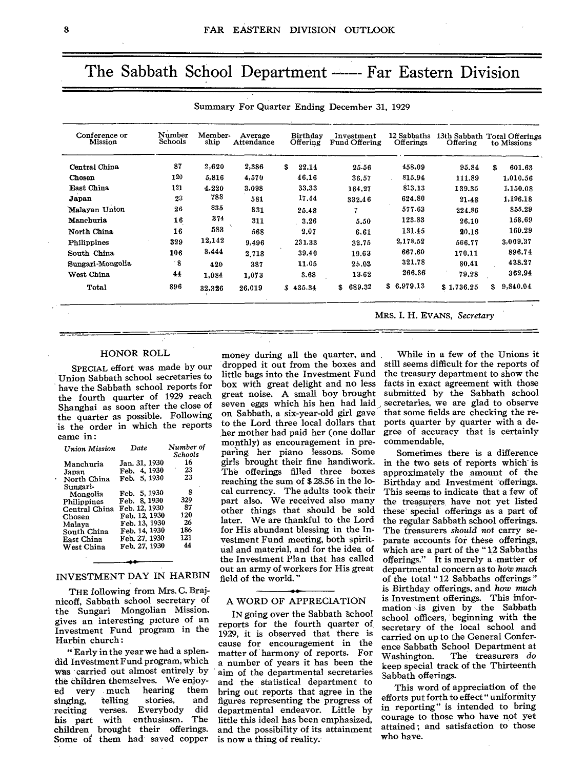# The Sabbath School Department ------- Far Eastern Division

| Conference or<br>Mission | Number<br>Schools | Member-<br>ship | Average<br>Attendance | <b>Birthday</b><br>Offering | Investment<br>Fund Offering | 12 Sabbaths<br>Offerings | 13th Sabbath Total Offerings<br>Offering | to Missions    |
|--------------------------|-------------------|-----------------|-----------------------|-----------------------------|-----------------------------|--------------------------|------------------------------------------|----------------|
| Central China            | 87                | 2,620           | 2,386                 | \$<br>22.14                 | 25.56                       | 458.09                   | 95.84                                    | \$<br>601.63   |
| Chosen                   | 120               | 5,816           | 4,570                 | 46.16                       | 36.57                       | 815.94                   | 111.89                                   | 1,010.56       |
| East China               | 121               | 4,220           | 3,098                 | 33.33                       | 164.27                      | 813.13                   | 139.35                                   | 1,150.08       |
| Japan                    | 23                | 788             | 581                   | 17.44                       | 332.46                      | 624.80                   | 21.48                                    | 1,196.18       |
| Malayan Union            | 26                | 835             | 831                   | 25.48                       | 7                           | 577.63                   | 224.86                                   | 855.29         |
| Manchuria                | 16                | 374             | 311                   | 3.26                        | 5.50                        | 123.83                   | 26.10                                    | 158.69         |
| North China              | 16                | 583             | 568                   | 2.07                        | 6.61                        | 131.45                   | 20.16                                    | 160.29         |
| Philippines              | 329               | 12,142          | 9,496                 | 231.33                      | 32.75                       | 2,178.52                 | 566.77                                   | 3.009.37       |
| South China              | 106               | 3,444           | 2,718                 | 39.40                       | 19.63                       | 667.60                   | 170.11                                   | 896.74         |
| Sungari Mongolia         | $^{\prime}$ 8     | 420             | 387                   | 11.05                       | 25.03                       | 321.78                   | 80.41                                    | 438.27         |
| West China               | 44                | 1.084           | 1.073                 | 3.68                        | 13.62                       | 266.36                   | 79.28                                    | 362.94         |
| Total                    | 896               | 32,326          | 26,019                | \$435.34                    | 689.32<br>\$.               | \$6.979.13               | \$1,736.25                               | \$<br>9,840.04 |

Summary For Quarter Ending December 31, 1929

#### HONOR ROLL

SPECIAL effort was made by our Union Sabbath school secretaries to have the Sabbath school reports for the fourth quarter of 1929 reach Shanghai as soon after the close of the quarter as possible. Following is the order in which the reports came in :

| Number of<br>Date<br>Schools |
|------------------------------|
| 16<br>Jan. 31, 1930          |
| 23<br>Feb. 4, 1930           |
| 23<br>Feb. 5, 1930           |
| 8                            |
| Feb. 5, 1930<br>329          |
| Feb. 8, 1930                 |
| 87<br>Feb. 12, 1930          |
| 120<br>Feb. 12, 1930         |
| 26<br>Feb. 13, 1930          |
| 186<br>Feb. 14, 1930         |
| 121<br>Feb. 27, 1930         |
| 44<br>Feb. 27, 1930          |
|                              |

#### INVESTMENT DAY IN HARBIN

THE following from Mrs. C. Brajnicoff, Sabbath school secretary of the Sungari Mongolian Mission, gives an interesting picture of an Investment Fund program in the Harbin church :

"Early in the year we had a splendid Investment Fund program, which was carried out almost entirely by the children themselves. We enjoy-<br>ed very much hearing them very much hearing them<br>ing, telling stories, and singing, telling stories, and<br>reciting verses. Everybody did verses. Everybody his part with enthusiasm. The children brought their offerings. Some of them had saved copper

money during all the quarter, and dropped it out from the boxes and little bags into the Investment Fund box with great delight and no less great noise. A small boy brought seven eggs which his hen had laid on Sabbath, a six-year-old girl gave to the Lord three local dollars that her mother had paid her (one dollar monthly) as encouragement in preparing her piano lessons. Some girls brought their fine handiwork. The offerings filled three boxes reaching the sum of \$ 28.56 in the local currency. The adults took their part also. We received also many other things that should be sold later. We are thankful to the Lord for His abundant blessing in the Investment Fund meeting, both spiritual and material, and for the idea of the Investment Plan that has called out an army of workers for His great field of the world. "

#### A WORD OF APPRECIATION

IN going over the Sabbath School reports for the fourth quarter of 1929, it is observed that there is cause for encouragement in the matter of harmony of reports. For a number of years it has been the aim of the departmental secretaries and the statistical department to bring out reports that agree in the figures representing the progress of departmental endeavor. Little by little this ideal has been emphasized, and the possibility of its attainment is now a thing of reality.

MRS. I. H. EVANS, *Secretary* 

While in a few of the Unions it still seems difficult for the reports of the treasury department to show the facts in exact agreement with those submitted by the Sabbath school secretaries, we are glad to observe that some fields are checking the reports quarter by quarter with a degree of accuracy that is certainly commendable,

Sometimes there is a difference in the two sets of reports which is approximately the amount of the Birthday and Investment offerings. This seems to indicate that a few of the treasurers, have not yet listed these special offerings as a part of the regular Sabbath school offerings. The treasurers *should not* carry separate accounts for these offerings, which are a part of the " 12 Sabbaths offerings." It is merely a matter of departmental concern as to how *much*  of the total " 12 Sabbaths offerings " is Birthday offerings, and *how much*  is Investment offerings. This information is given by the Sabbath school officers, beginning with the secretary of the local school and carried on up to the General Conference Sabbath School Department at<br>Washington. The treasurers do The treasurers *do* keep special track of the Thirteenth Sabbath offerings.

This word of appreciation of the efforts put forth to effect " uniformity in reporting" is intended to bring courage to those who have not yet attained; and satisfaction to those who have.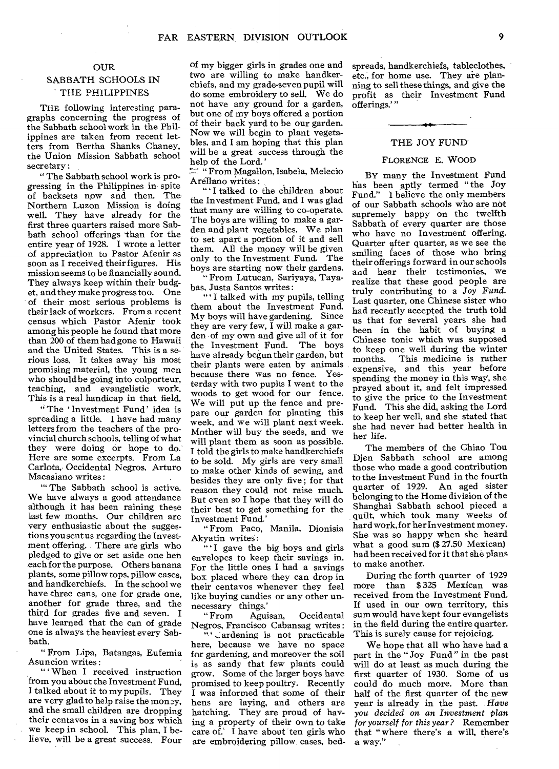#### OUR

#### SABBATH SCHOOLS IN THE PHILIPPINES

THE following interesting paragraphs concerning the progress of the Sabbath school work in the Philippines are taken from recent letters from Bertha Shanks Chaney, the Union Mission Sabbath school secretary:

" The Sabbath school work is progressing in the Philippines in spite of backsets now and then. The Northern Luzon Mission is doing well. They have already for the first three quarters raised more Sabbath school offerings than for the entire year of 1928. I wrote a letter of appreciation to Pastor Afenir as soon as I received their figures. His mission seems to be financially sound. They always keep within their budget, and they make progress too. One of their most serious problems is their lack of workers. From a recent census which Pastor Afenir took among his people he found that more than 200 of them had gone to Hawaii and the United States. This is a serious loss. It takes away his most promising material, the young men who should be going into colporteur, teaching, and evangelistic work. This is a real handicap in that field,

"The 'Investment Fund' idea is spreading a little. I have had many letters from the teachers of the provincial church schools, telling of what they were doing or hope to do. Here are some excerpts. From La Carlota, Occidental Negros, Arturo Macasiano writes :

'" The Sabbath school is active. We have always a good attendance although it has been raining these last few months. Our children are very enthusiastic about the suggestions you sent us regarding the Investment offering. There are girls who pledged to give or set aside one hen each for the purpose. Others banana plants, some pillow tops, pillow cases, and handkerchiefs. In the school we have three cans, one for grade one, another for grade three, and the third for grades five and seven. I have learned that the can of grade one is always the heaviest every Sabbath.

" From Lipa, Batangas, Eufemia Asuncion writes:

" When I received instruction from you about the Investment Fund, I talked about it to my pupils. They are very glad to help raise the money, and the small children are dropping their centavos in a saving box which we keep in school. This plan, I believe, will be a great success. Four

of my bigger girls in grades one and two are willing to make handkerchiefs, and my grade-seven pupil will do some embroidery to sell. We do not have any ground for a garden, but one of my boys offered a portion of their back yard to be our garden. Now we will begin to plant vegetables, and I am hoping that this plan will be a great success through the help of the Lord.'

" "From Magallon, Isabela, Melecio" Arellano writes :

I talked to the children about the Investment Fund, and I was glad that many are willing to co-operate. The boys are willing to make a garden and plant vegetables. We plan to set apart a portion of it and sell them. All the money will be given only to the Investment Fund. The boys are starting now their gardens.

" From Lutucan, Sariyaya, Tayabas, Justa Santos writes :

" I talked with my pupils, telling them about the Investment Fund. My boys will have gardening. Since they are very few, I will make a garden of my own and give all of it for the Investment Fund. The boys have already begun their garden, but their plants were eaten by animals because there was no fence. Yesterday with two pupils I went to the woods to get wood for our fence. We will put up the fence and prepare our garden for planting this week, and we will plant next week. Mother will buy the seeds, and we will plant them as soon as possible. I told the girls to make handkerchiefs to be sold. My girls are very small to make other kinds of sewing, and besides they are only five ; for that reason they could not raise much. But even so I hope that they will do their best to get something for the Investment Fund.'

" From Paco, Manila, Dionisia Akyatin writes :

"'I gave the big boys and girls envelopes to keep their savings in. For the little ones I had a savings box placed where they can drop in their centavos whenever they feel like buying candies or any other unnecessary things.<br>"From Agu

Aguisan, Occidental Negros, Francisco Cabansag writes :

"' ardening is not practicable here, because we have no space for gardening, and moreover the soil is as sandy that few plants could grow. Some of the larger boys have promised to keep poultry. Recently I was informed that some of their hens are laying, and others are hatching. They are proud of having a property of their own to take care of.' I have about ten girls who are embroidering pillow cases, bed-

spreads, handkerchiefs, tableclothes, etc., for home use. They are planning to sell these things, and give the profit as their Investment Fund offerings.' "

#### THE JOY FUND

#### FLORENCE E. WOOD

BY many the Investment Fund has been aptly termed " the Joy Fund." I believe the only members of our Sabbath schools who are not supremely happy on the twelfth Sabbath of every quarter are those who have no Investment offering. Quarter after quarter, as we see the smiling faces of those who bring their offerings forward in our schools and hear their testimonies, we realize that these good people are truly contributing to a *Joy Fund.*  Last quarter, one Chinese sister who had recently accepted the truth told us that for several years she had been in the habit of buying a Chinese tonic which was supposed to keep one well during the winter months. This medicine is rather expensive, and this year before spending the money in this way, she prayed about it, and felt impressed to give the price to the Investment Fund. This she did, asking the Lord to keep her well, and she stated that she had never had better health in her life.

The members of the Chiao Tou Djen Sabbath school are among those who made a good contribution to the Investment Fund in the fourth quarter of 1929. An aged sister belonging to the Home division of the Shanghai Sabbath school pieced a quilt, which took many weeks of hard work, for her Investment money. She was so happy when she heard what a good sum (\$ 27.50 Mexican) had been received for it that she plans to make another.

During the forth quarter of 1929 more than \$ 325 Mexican was received from the Investment Fund. If used in our own territory, this sum would have kept four evangelists in the field during the entire quarter. This is surely cause for rejoicing.

We hope that all who have had a part in the " Joy Fund " in the past will do at least as much during the first quarter of 1930. Some of us could do much more. More than half of the first quarter of the new year is already in the past. *Have you decided on an Investment plan for yourself for this year ?* Remember that " where there's a will, there's a way."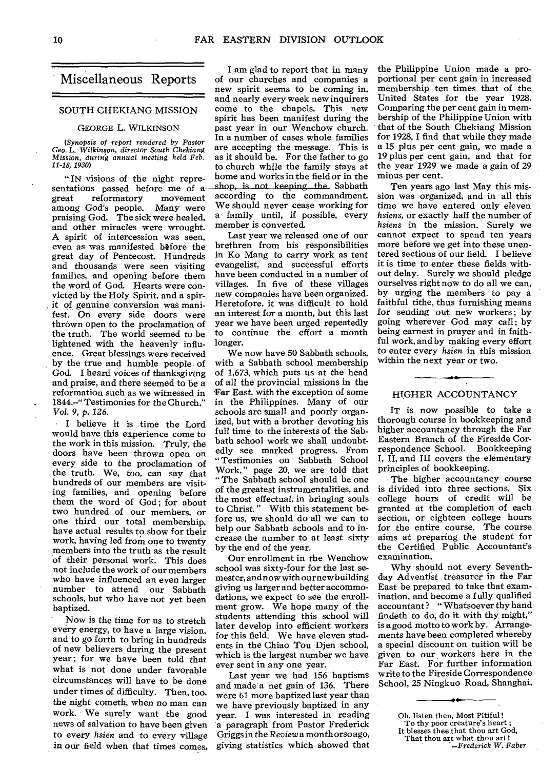## Miscellaneous Reports

#### SOUTH CHEKIANG MISSION

#### GEORGE L. WILKINSON

*(Synopsis of report rendered by Pastor Geo. L. Wilkinson, director South Chekiang Mission, during annual meeting held Feb. 11-18, 1930)* 

" IN visions of the night representations passed before me of agreat reformatory movement reformatory among God's people. Many were praising God. The sick were healed, and other miracles were wrought. A spirit of intercession was seen, even as was manifested before the great day of Pentecost. Hundreds and thousands were seen visiting families, and opening before them the word of God. Hearts were convicted by the Holy Spirit, and a spirit of genuine conversion was manifest. On every side doors were thrown open to the proclamation of the truth. The world seemed to be lightened with the heavenly influence. Great blessings were received by the true and humble people of God. I heard voices of thanksgiving and praise, and there seemed to be a reformation such as we witnessed in 1844.--" Testimonies for the Church." *Vol.* 9, p. *126.* 

I believe it is time the Lord would have this experience come to the work in this mission. Truly, the doors have been thrown open on every side to the proclamation of the truth. We, too, can say that hundreds of our members are visiting families, and opening before them the word of God; for about two hundred of our members, or One third our total membership, have actual results to show for their work, having led from one to twenty members into the truth as the result of their personal work. This does not include the work of our members who have influenced an even larger number to attend our Sabbath schools, but who have not yet been baptized.

Now is the time for us to stretch every energy, to have a large vision, and to go forth to bring in hundreds of new believers during the present year; for we have been told that what is not done under favorable circumstances will have to be done under times of difficulty. Then, too, the night cometh, when no man can work. We surely want the good news of salvation to have been given to every *hsien* and to every village in our field when that times comes.

I am glad to report that in many of our churches and companies a new spirit seems to be coming in, and nearly every week new inquirers come to the chapels. This new spirit has been manifest during the past year in our Wenchow church. In a number of cases whole families are accepting the message. This is as it should be. For the father to go to church while the family stays at home and works in the field or in the shop, is not keeping the Sabbath according to the commandment. We should never cease working for a family until, if possible, every member is converted.

Last year we released one of our brethren from his responsibilities in Ko Mang to carry work as tent evangelist, and successful efforts have been conducted in a number of villages. In five of these villages new companies have been organized. Heretofore, it was difficult to hold an interest for a month, but this last year we have been urged repeatedly to continue the effort a month longer.

We now have 50 Sabbath schools, with a Sabbath school membership of 1,673, which puts us at the head of all the provincial missions in the Far East, with the exception of some in the Philippines. Many of our schools are small and poorly organized, but with a brother devoting his full time to the interests of the Sabbath school work we shall undoubtedly see marked progress. From "Testimonies on Sabbath School Work," page 20. we are told that " The Sabbath school should be one of the greatest instrumentalities, and the most effectual, in bringing souls to Christ. " With this statement before us, we should do all we can to help our Sabbath schools and to increase the number to at least sixty by the end of the year.

Our enrollment in the Wenchow school was sixty-four for the last semester, and now with ournew building giving us larger and better accommodations, we expect to see the enrollment grow. We hope many of the students attending this school will later develop into efficient workers for this field. We have eleven students in the Chiao Tou Djen school, which is the largest number we have ever sent in any one year.

Last year we had 156 baptisms and made a net gain of 136. There were 61 more baptized last year than we have previously baptized in any year. I was interested in reading a paragraph from Pastor Frederick Griggs in the *Review* a month orso ago, giving statistics which showed that

the Philippine Union made a proportional per cent gain in increased membership ten times that of the United States for the year 1928. Comparing the per cent gain in membership of the Philippine Union with that of the South Chekiang Mission for 1928, I find that while they made a 15 plus per cent gain, we made a 19 plus per cent gain, and that for the year 1929 we made a gain of 29 minus per cent.

Ten years ago last May this mission was organized, and in all this time we have entered only eleven *hsiens,* or exactly half the number of *hsiens* in the mission. Surely we cannot expect to spend ten years more before we get into these unentered sections of our field. I believe it is time to enter these fields without delay. Surely we should pledge ourselves right now to do all we can, by urging the members to pay a faithful tithe, thus furnishing means for sending out new workers; by going wherever God may call; by being earnest in prayer and in faithful work, and by making every effort to enter every *hsien* in this mission within the next year or two.

#### HIGHER ACCOUNTANCY

IT is now possible to take a thorough course in bookkeeping and higher accountancy through the Far Eastern Branch of the Fireside Correspondence School. Bookkeeping I, II, and III covers the elementary principles of bookkeeping.

The higher accountancy course is divided into three sections. Six college hours of credit will be granted at the completion of each section, or eighteen college hours for the entire course. The course aims at preparing the student for the Certified Public Accountant's examination.

Why should not every Seventhday Adventist treasurer in the Far East be prepared to take that examination, and become a fully qualified accountant? "Whatsoever thy hand findeth to do, do it with thy might," is a good motto to work by. Arrangements have been completed whereby a special discount on tuition will be given to our workers here in the Far East. For further information write to the Fireside Correspondence School, 25 Ningkuo Road, Shanghai.

That thou art what thou art ! *—Frederick W. Faber* 

Oh, listen then, Most Pitiful! To thy poor creature's heart ; It blesses thee.that thou art God,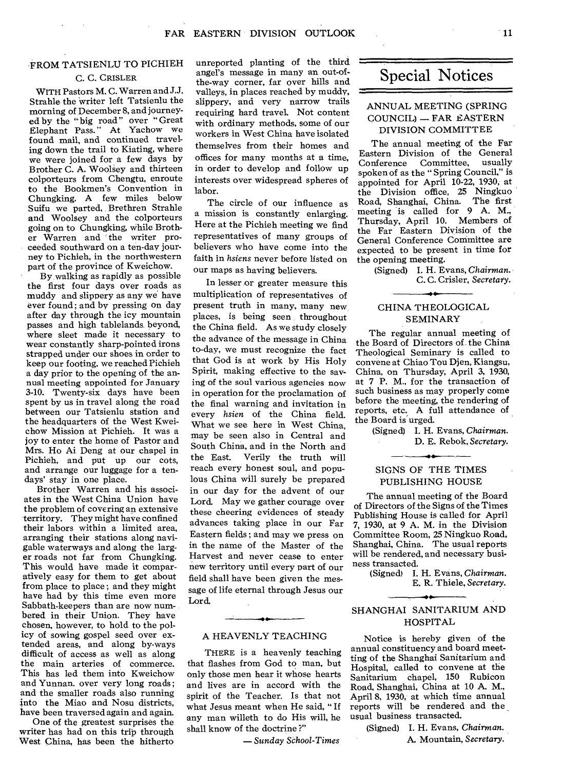#### FROM TATSIENLU TO PICHIEH

#### C. C. CRISLER

WITH Pastors M. C. Warren and J.J. Strahle the 'writer left Tatsienlu the morning of December 8, and journeyed by the "big road" over "Great Elephant Pass." At Yachow we found mail, and continued traveling down the trail to Kiating, where we were joined for a few days by Brother C. A. Woolsey and thirteen colporteurs from Chengtu, enroute to the Bookmen's Convention in Chungking. A few miles below Suifu we parted, Brethren Strahle and Woolsey and the colporteurs going on to Chungking, while Brother Warren and the writer proceeded southward on a ten-day journey to Pichieh, in the northwestern part of the province of Kweichow.

By, walking as rapidly as possible the first four days over roads as muddy and slippery as any we have ever found; and by pressing on day after day through the icy mountain passes and high tablelands beyond, where sleet made it necessary to wear constantly sharp-pointed irons strapped under our shoes in order to keep our footing, we reached Pichieh a day prior to the opening of the annual meeting appointed for January 3-10. Twenty-six days have been spent by us in travel along the road between our Tatsienlu station and the headquarters of the West Kweichow Mission at Pichieh. It was a joy to enter the home of Pastor and Mrs. Ho Ai Deng at our chapel in Pichieh, and put up our cots, and arrange our luggage for a tendays' stay in one place.

Brother Warren and his associates in the West China Union have the problem of covering an extensive territory. They might have confined their labors within a limited area, arranging their stations along navigable waterways and along the larger roads not far from Chungking. This would have made it comparatively easy for them to get about from place to place ; and they might have had by this time even more Sabbath-keepers than are now numbered in their Union. They have chosen, however, to hold to the policy of sowing gospel seed over extended areas, and along by-ways difficult of access as well as along the main arteries of commerce. This has led them into Kweichow and Yunnan, over very long roads; and the smaller roads also running into the Miao and Nosu districts, have been traversed again and again.

One of the greatest surprises the writer has had on this trip through West China, has been the hitherto

unreported planting of the third angel's message in many an out-ofthe-way corner, far over hills and valleys, in places reached by muddy, slippery, and very narrow trails requiring hard travel, Not content with ordinary methods, some of our workers in West China have isolated themselves from their homes and offices for many months at a time, in order to develop and follow up interests over widespread spheres of labor.

The circle of our influence as a mission is constantly enlarging. Here at the Pichieh meeting we find representatives of many groups of believers who have come into the faith in *hsiens* never before listed on our maps as having believers.

In lesser or greater measure this multiplication of representatives of present truth in many, many new places, is being seen throughout the China field. As we study closely the advance of the message in China to-day, we must recognize the fact that God is at work by His Holy Spirit, making effective to the saving of the soul various agencies now in operation for the proclamation of the final warning and invitation in every *hsien* of the China field. What we see here in West China, may be seen also in Central and South China, and in the North and the East. Verily the truth will reach every honest soul, and populous China will surely be prepared in our day for the advent of our Lord. May we gather courage over these cheering evidences of steady advances taking place in our Far Eastern fields ; and may we press on in the name of the Master of the Harvest and never cease to enter new territory until every part of our field shall have been given the message of life eternal through Jesus our Lord.

#### A HEAVENLY TEACHING

THERE is a heavenly teaching that flashes from God to man, but only those men hear it whose hearts and lives are in accord with the spirit of the Teacher. Is that not what Jesus meant when He said, " If any man willeth to do His will, he shall know of the doctrine ?"

*— Sunday School-Times* 

# Special Notices

#### ANNUAL MEETING (SPRING COUNCIL) — FAR EASTERN DIVISION COMMITTEE

The annual meeting of the Far Eastern Division of the General Conference Committee, usually spoken of as the " Spring Council," is appointed for April 10-22, 1930, at the Division office, 25 Ningkuo Road, Shanghai, China. The first meeting is called for 9 A. M., Thursday, April 10. Members of the Far Eastern Division of the General Conference Committee are expected to be present in time for the opening meeting.

(Signed) I. H. Evans, *Chairman.*  C. C. Crisler, *Secretary.*  ۰۰<br>••

#### CHINA THEOLOGICAL SEMINARY

The regular annual meeting of the Board of Directors of the China Theological Seminary is called to convene at Chiao Tou Djen, Kiangsu, China, on Thursday, April 3, 1930, at 7 P. M., for the transaction of such business as may properly come before the meeting, the rendering of reports, etc. A full attendance of the Board is urged.

> (Signed) I. H. Evans, *Chairman.*  D. E. Rebok, *Secretary.*

#### SIGNS OF THE TIMES PUBLISHING HOUSE

The annual meeting of the Board of Directors of the Signs of the Times Publishing House is called for April 7, 1930, at 9 A. M. in the Division Committee Room, 25 Ningkuo Road, Shanghai, China. The usual reports will be rendered, and necessary business transacted.

> (Signed) I. H. Evans, *Chairman.*  E. R. Thiele, *Secretary.*

#### SHANGHAI SANITARIUM AND HOSPITAL

Notice is hereby given of the annual constituency and board meetting of the Shanghai Sanitarium and Hospital, called to convene at the Sanitarium chapel, 150 Rubicon Road, Shanghai, China at 10 A. M., April 8, 1930, at which time annual reports will be rendered and the, usual business transacted.

> (Signed) I. H. Evans, *Chairman.*  A. Mountain, *Secretary.*